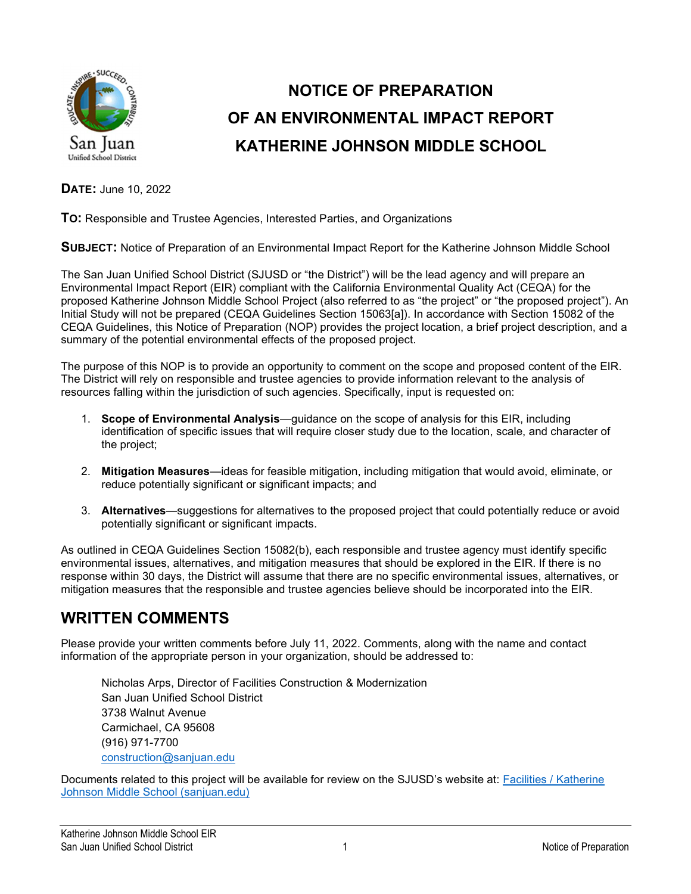

# NOTICE OF PREPARATION OF AN ENVIRONMENTAL IMPACT REPORT KATHERINE JOHNSON MIDDLE SCHOOL

DATE: June 10, 2022

TO: Responsible and Trustee Agencies, Interested Parties, and Organizations

SUBJECT: Notice of Preparation of an Environmental Impact Report for the Katherine Johnson Middle School

The San Juan Unified School District (SJUSD or "the District") will be the lead agency and will prepare an Environmental Impact Report (EIR) compliant with the California Environmental Quality Act (CEQA) for the proposed Katherine Johnson Middle School Project (also referred to as "the project" or "the proposed project"). An Initial Study will not be prepared (CEQA Guidelines Section 15063[a]). In accordance with Section 15082 of the CEQA Guidelines, this Notice of Preparation (NOP) provides the project location, a brief project description, and a summary of the potential environmental effects of the proposed project.

The purpose of this NOP is to provide an opportunity to comment on the scope and proposed content of the EIR. The District will rely on responsible and trustee agencies to provide information relevant to the analysis of resources falling within the jurisdiction of such agencies. Specifically, input is requested on:

- 1. Scope of Environmental Analysis—guidance on the scope of analysis for this EIR, including identification of specific issues that will require closer study due to the location, scale, and character of the project;
- 2. Mitigation Measures—ideas for feasible mitigation, including mitigation that would avoid, eliminate, or reduce potentially significant or significant impacts; and
- 3. Alternatives—suggestions for alternatives to the proposed project that could potentially reduce or avoid potentially significant or significant impacts.

As outlined in CEQA Guidelines Section 15082(b), each responsible and trustee agency must identify specific environmental issues, alternatives, and mitigation measures that should be explored in the EIR. If there is no response within 30 days, the District will assume that there are no specific environmental issues, alternatives, or mitigation measures that the responsible and trustee agencies believe should be incorporated into the EIR.

### WRITTEN COMMENTS

Please provide your written comments before July 11, 2022. Comments, along with the name and contact information of the appropriate person in your organization, should be addressed to:

Nicholas Arps, Director of Facilities Construction & Modernization San Juan Unified School District 3738 Walnut Avenue Carmichael, CA 95608 (916) 971-7700 construction@sanjuan.edu

Documents related to this project will be available for review on the SJUSD's website at: Facilities / Katherine Johnson Middle School (sanjuan.edu)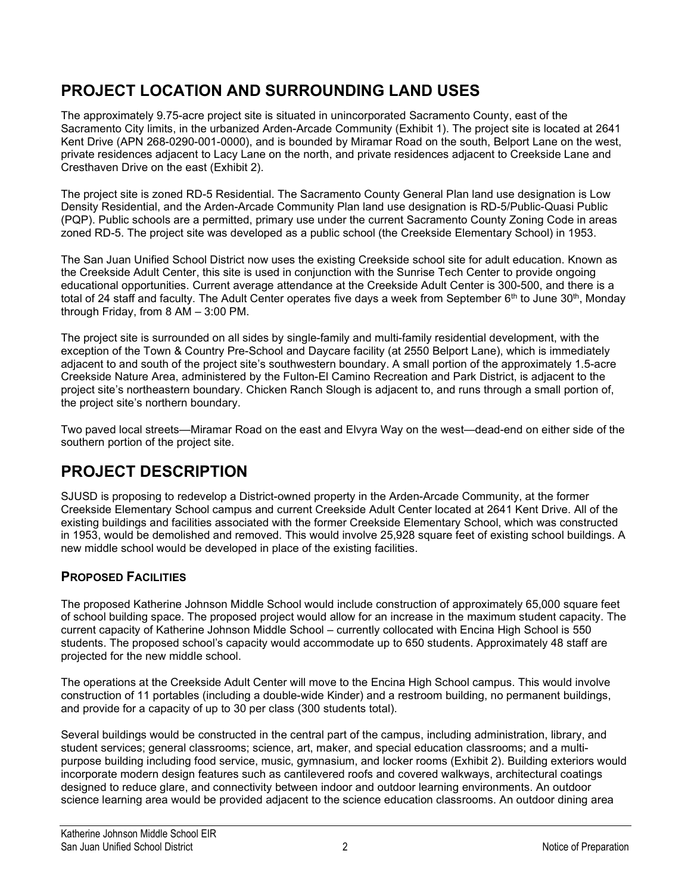### PROJECT LOCATION AND SURROUNDING LAND USES

The approximately 9.75-acre project site is situated in unincorporated Sacramento County, east of the Sacramento City limits, in the urbanized Arden-Arcade Community (Exhibit 1). The project site is located at 2641 Kent Drive (APN 268-0290-001-0000), and is bounded by Miramar Road on the south, Belport Lane on the west, private residences adjacent to Lacy Lane on the north, and private residences adjacent to Creekside Lane and Cresthaven Drive on the east (Exhibit 2).

The project site is zoned RD-5 Residential. The Sacramento County General Plan land use designation is Low Density Residential, and the Arden-Arcade Community Plan land use designation is RD-5/Public-Quasi Public (PQP). Public schools are a permitted, primary use under the current Sacramento County Zoning Code in areas zoned RD-5. The project site was developed as a public school (the Creekside Elementary School) in 1953.

The San Juan Unified School District now uses the existing Creekside school site for adult education. Known as the Creekside Adult Center, this site is used in conjunction with the Sunrise Tech Center to provide ongoing educational opportunities. Current average attendance at the Creekside Adult Center is 300-500, and there is a total of 24 staff and faculty. The Adult Center operates five days a week from September 6<sup>th</sup> to June 30<sup>th</sup>, Monday through Friday, from 8 AM – 3:00 PM.

The project site is surrounded on all sides by single-family and multi-family residential development, with the exception of the Town & Country Pre-School and Daycare facility (at 2550 Belport Lane), which is immediately adjacent to and south of the project site's southwestern boundary. A small portion of the approximately 1.5-acre Creekside Nature Area, administered by the Fulton-El Camino Recreation and Park District, is adjacent to the project site's northeastern boundary. Chicken Ranch Slough is adjacent to, and runs through a small portion of, the project site's northern boundary.

Two paved local streets—Miramar Road on the east and Elvyra Way on the west—dead-end on either side of the southern portion of the project site.

### PROJECT DESCRIPTION

SJUSD is proposing to redevelop a District-owned property in the Arden-Arcade Community, at the former Creekside Elementary School campus and current Creekside Adult Center located at 2641 Kent Drive. All of the existing buildings and facilities associated with the former Creekside Elementary School, which was constructed in 1953, would be demolished and removed. This would involve 25,928 square feet of existing school buildings. A new middle school would be developed in place of the existing facilities.

### PROPOSED FACILITIES

The proposed Katherine Johnson Middle School would include construction of approximately 65,000 square feet of school building space. The proposed project would allow for an increase in the maximum student capacity. The current capacity of Katherine Johnson Middle School – currently collocated with Encina High School is 550 students. The proposed school's capacity would accommodate up to 650 students. Approximately 48 staff are projected for the new middle school.

The operations at the Creekside Adult Center will move to the Encina High School campus. This would involve construction of 11 portables (including a double-wide Kinder) and a restroom building, no permanent buildings, and provide for a capacity of up to 30 per class (300 students total).

Several buildings would be constructed in the central part of the campus, including administration, library, and student services; general classrooms; science, art, maker, and special education classrooms; and a multipurpose building including food service, music, gymnasium, and locker rooms (Exhibit 2). Building exteriors would incorporate modern design features such as cantilevered roofs and covered walkways, architectural coatings designed to reduce glare, and connectivity between indoor and outdoor learning environments. An outdoor science learning area would be provided adjacent to the science education classrooms. An outdoor dining area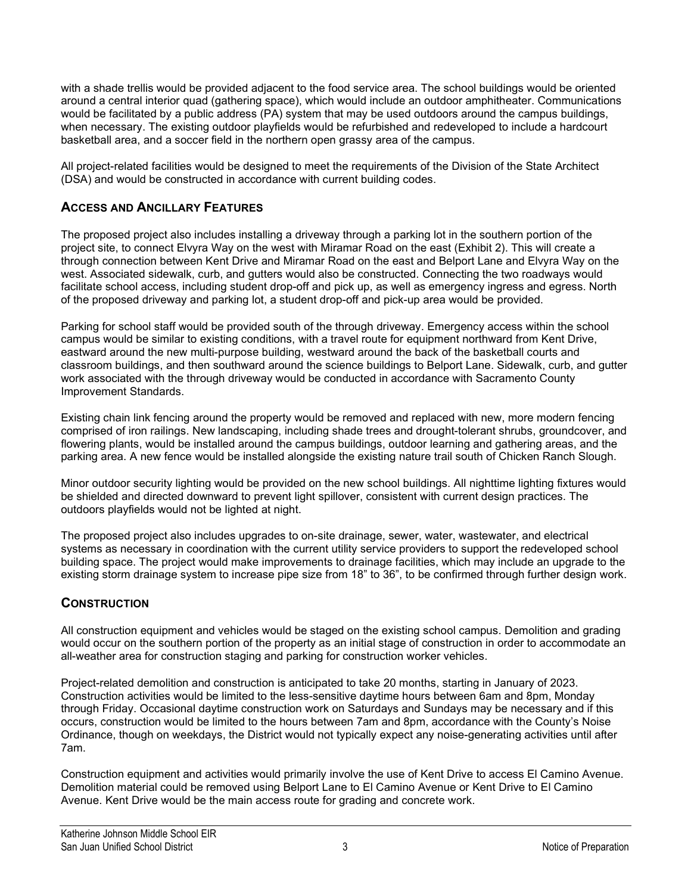with a shade trellis would be provided adjacent to the food service area. The school buildings would be oriented around a central interior quad (gathering space), which would include an outdoor amphitheater. Communications would be facilitated by a public address (PA) system that may be used outdoors around the campus buildings, when necessary. The existing outdoor playfields would be refurbished and redeveloped to include a hardcourt basketball area, and a soccer field in the northern open grassy area of the campus.

All project-related facilities would be designed to meet the requirements of the Division of the State Architect (DSA) and would be constructed in accordance with current building codes.

#### ACCESS AND ANCILLARY FEATURES

The proposed project also includes installing a driveway through a parking lot in the southern portion of the project site, to connect Elvyra Way on the west with Miramar Road on the east (Exhibit 2). This will create a through connection between Kent Drive and Miramar Road on the east and Belport Lane and Elvyra Way on the west. Associated sidewalk, curb, and gutters would also be constructed. Connecting the two roadways would facilitate school access, including student drop-off and pick up, as well as emergency ingress and egress. North of the proposed driveway and parking lot, a student drop-off and pick-up area would be provided.

Parking for school staff would be provided south of the through driveway. Emergency access within the school campus would be similar to existing conditions, with a travel route for equipment northward from Kent Drive, eastward around the new multi-purpose building, westward around the back of the basketball courts and classroom buildings, and then southward around the science buildings to Belport Lane. Sidewalk, curb, and gutter work associated with the through driveway would be conducted in accordance with Sacramento County Improvement Standards.

Existing chain link fencing around the property would be removed and replaced with new, more modern fencing comprised of iron railings. New landscaping, including shade trees and drought-tolerant shrubs, groundcover, and flowering plants, would be installed around the campus buildings, outdoor learning and gathering areas, and the parking area. A new fence would be installed alongside the existing nature trail south of Chicken Ranch Slough.

Minor outdoor security lighting would be provided on the new school buildings. All nighttime lighting fixtures would be shielded and directed downward to prevent light spillover, consistent with current design practices. The outdoors playfields would not be lighted at night.

The proposed project also includes upgrades to on-site drainage, sewer, water, wastewater, and electrical systems as necessary in coordination with the current utility service providers to support the redeveloped school building space. The project would make improvements to drainage facilities, which may include an upgrade to the existing storm drainage system to increase pipe size from 18" to 36", to be confirmed through further design work.

#### **CONSTRUCTION**

All construction equipment and vehicles would be staged on the existing school campus. Demolition and grading would occur on the southern portion of the property as an initial stage of construction in order to accommodate an all-weather area for construction staging and parking for construction worker vehicles.

Project-related demolition and construction is anticipated to take 20 months, starting in January of 2023. Construction activities would be limited to the less-sensitive daytime hours between 6am and 8pm, Monday through Friday. Occasional daytime construction work on Saturdays and Sundays may be necessary and if this occurs, construction would be limited to the hours between 7am and 8pm, accordance with the County's Noise Ordinance, though on weekdays, the District would not typically expect any noise-generating activities until after 7am.

Construction equipment and activities would primarily involve the use of Kent Drive to access El Camino Avenue. Demolition material could be removed using Belport Lane to El Camino Avenue or Kent Drive to El Camino Avenue. Kent Drive would be the main access route for grading and concrete work.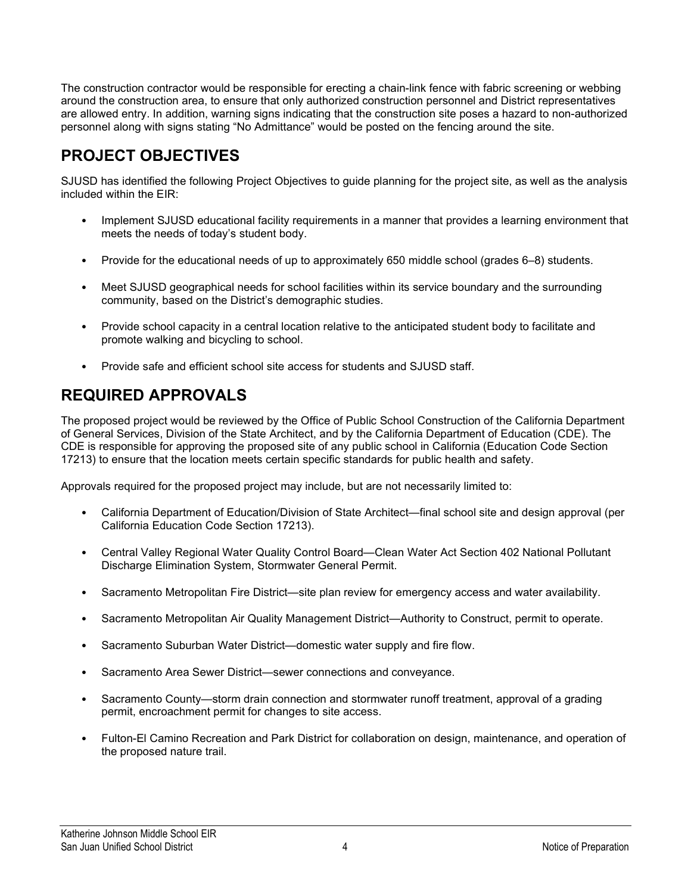The construction contractor would be responsible for erecting a chain-link fence with fabric screening or webbing around the construction area, to ensure that only authorized construction personnel and District representatives are allowed entry. In addition, warning signs indicating that the construction site poses a hazard to non-authorized personnel along with signs stating "No Admittance" would be posted on the fencing around the site.

### PROJECT OBJECTIVES

SJUSD has identified the following Project Objectives to guide planning for the project site, as well as the analysis included within the EIR:

- Implement SJUSD educational facility requirements in a manner that provides a learning environment that meets the needs of today's student body.
- Provide for the educational needs of up to approximately 650 middle school (grades 6–8) students.
- Meet SJUSD geographical needs for school facilities within its service boundary and the surrounding community, based on the District's demographic studies.
- Provide school capacity in a central location relative to the anticipated student body to facilitate and promote walking and bicycling to school.
- Provide safe and efficient school site access for students and SJUSD staff.

## REQUIRED APPROVALS

The proposed project would be reviewed by the Office of Public School Construction of the California Department of General Services, Division of the State Architect, and by the California Department of Education (CDE). The CDE is responsible for approving the proposed site of any public school in California (Education Code Section 17213) to ensure that the location meets certain specific standards for public health and safety.

Approvals required for the proposed project may include, but are not necessarily limited to:

- California Department of Education/Division of State Architect—final school site and design approval (per California Education Code Section 17213).
- Central Valley Regional Water Quality Control Board—Clean Water Act Section 402 National Pollutant Discharge Elimination System, Stormwater General Permit.
- Sacramento Metropolitan Fire District—site plan review for emergency access and water availability.
- Sacramento Metropolitan Air Quality Management District—Authority to Construct, permit to operate.
- Sacramento Suburban Water District—domestic water supply and fire flow.
- Sacramento Area Sewer District—sewer connections and conveyance.
- Sacramento County—storm drain connection and stormwater runoff treatment, approval of a grading permit, encroachment permit for changes to site access.
- Fulton-El Camino Recreation and Park District for collaboration on design, maintenance, and operation of the proposed nature trail.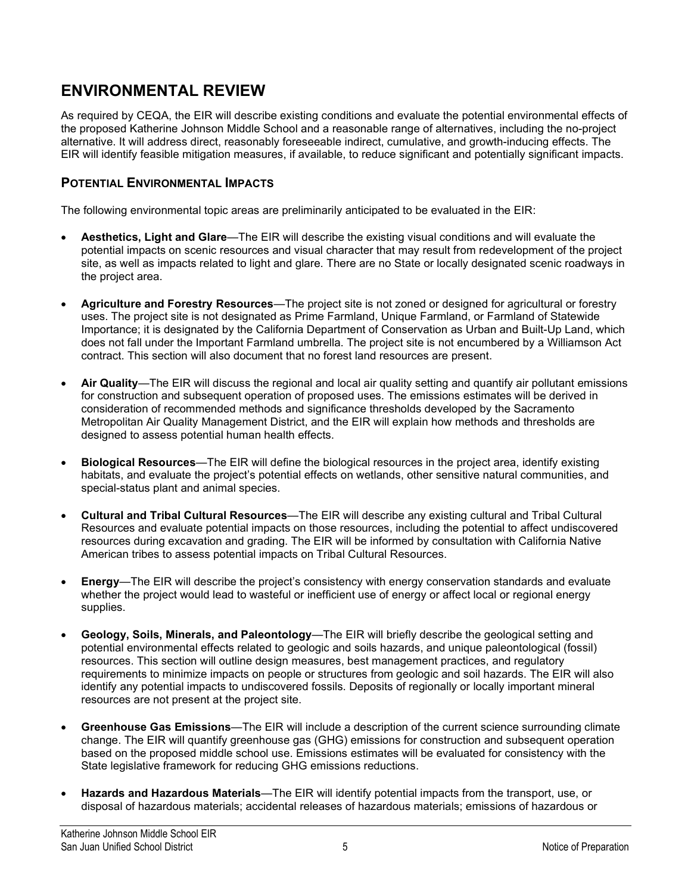### ENVIRONMENTAL REVIEW

As required by CEQA, the EIR will describe existing conditions and evaluate the potential environmental effects of the proposed Katherine Johnson Middle School and a reasonable range of alternatives, including the no-project alternative. It will address direct, reasonably foreseeable indirect, cumulative, and growth-inducing effects. The EIR will identify feasible mitigation measures, if available, to reduce significant and potentially significant impacts.

#### POTENTIAL ENVIRONMENTAL IMPACTS

The following environmental topic areas are preliminarily anticipated to be evaluated in the EIR:

- Aesthetics, Light and Glare—The EIR will describe the existing visual conditions and will evaluate the potential impacts on scenic resources and visual character that may result from redevelopment of the project site, as well as impacts related to light and glare. There are no State or locally designated scenic roadways in the project area.
- Agriculture and Forestry Resources—The project site is not zoned or designed for agricultural or forestry uses. The project site is not designated as Prime Farmland, Unique Farmland, or Farmland of Statewide Importance; it is designated by the California Department of Conservation as Urban and Built-Up Land, which does not fall under the Important Farmland umbrella. The project site is not encumbered by a Williamson Act contract. This section will also document that no forest land resources are present.
- Air Quality—The EIR will discuss the regional and local air quality setting and quantify air pollutant emissions for construction and subsequent operation of proposed uses. The emissions estimates will be derived in consideration of recommended methods and significance thresholds developed by the Sacramento Metropolitan Air Quality Management District, and the EIR will explain how methods and thresholds are designed to assess potential human health effects.
- Biological Resources—The EIR will define the biological resources in the project area, identify existing habitats, and evaluate the project's potential effects on wetlands, other sensitive natural communities, and special-status plant and animal species.
- Cultural and Tribal Cultural Resources—The EIR will describe any existing cultural and Tribal Cultural Resources and evaluate potential impacts on those resources, including the potential to affect undiscovered resources during excavation and grading. The EIR will be informed by consultation with California Native American tribes to assess potential impacts on Tribal Cultural Resources.
- Energy—The EIR will describe the project's consistency with energy conservation standards and evaluate whether the project would lead to wasteful or inefficient use of energy or affect local or regional energy supplies.
- Geology, Soils, Minerals, and Paleontology—The EIR will briefly describe the geological setting and potential environmental effects related to geologic and soils hazards, and unique paleontological (fossil) resources. This section will outline design measures, best management practices, and regulatory requirements to minimize impacts on people or structures from geologic and soil hazards. The EIR will also identify any potential impacts to undiscovered fossils. Deposits of regionally or locally important mineral resources are not present at the project site.
- Greenhouse Gas Emissions—The EIR will include a description of the current science surrounding climate change. The EIR will quantify greenhouse gas (GHG) emissions for construction and subsequent operation based on the proposed middle school use. Emissions estimates will be evaluated for consistency with the State legislative framework for reducing GHG emissions reductions.
- Hazards and Hazardous Materials—The EIR will identify potential impacts from the transport, use, or disposal of hazardous materials; accidental releases of hazardous materials; emissions of hazardous or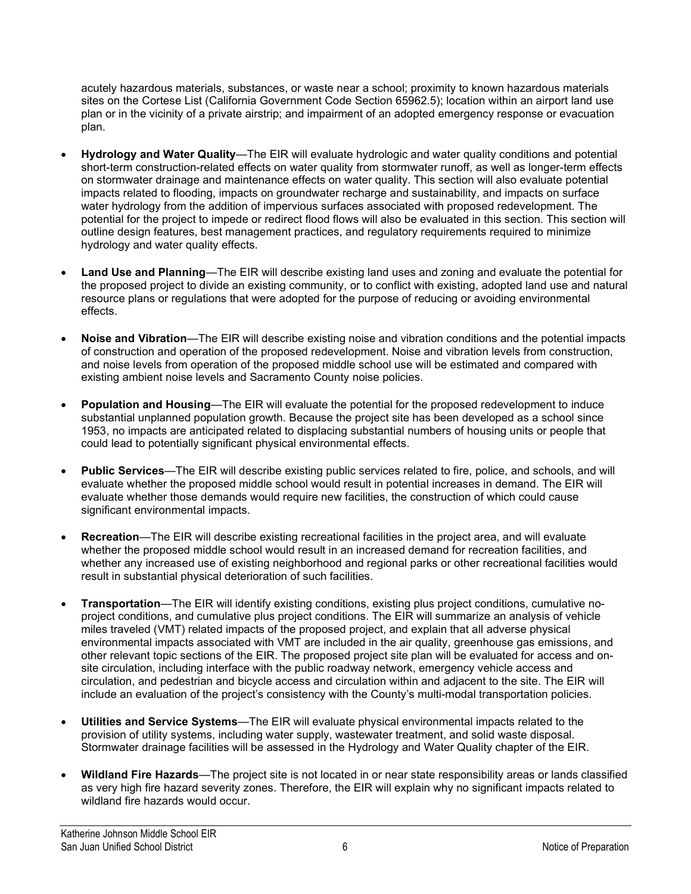acutely hazardous materials, substances, or waste near a school; proximity to known hazardous materials sites on the Cortese List (California Government Code Section 65962.5); location within an airport land use plan or in the vicinity of a private airstrip; and impairment of an adopted emergency response or evacuation plan.

- Hydrology and Water Quality—The EIR will evaluate hydrologic and water quality conditions and potential short-term construction-related effects on water quality from stormwater runoff, as well as longer-term effects on stormwater drainage and maintenance effects on water quality. This section will also evaluate potential impacts related to flooding, impacts on groundwater recharge and sustainability, and impacts on surface water hydrology from the addition of impervious surfaces associated with proposed redevelopment. The potential for the project to impede or redirect flood flows will also be evaluated in this section. This section will outline design features, best management practices, and regulatory requirements required to minimize hydrology and water quality effects.
- Land Use and Planning—The EIR will describe existing land uses and zoning and evaluate the potential for the proposed project to divide an existing community, or to conflict with existing, adopted land use and natural resource plans or regulations that were adopted for the purpose of reducing or avoiding environmental effects.
- Noise and Vibration—The EIR will describe existing noise and vibration conditions and the potential impacts of construction and operation of the proposed redevelopment. Noise and vibration levels from construction, and noise levels from operation of the proposed middle school use will be estimated and compared with existing ambient noise levels and Sacramento County noise policies.
- Population and Housing—The EIR will evaluate the potential for the proposed redevelopment to induce substantial unplanned population growth. Because the project site has been developed as a school since 1953, no impacts are anticipated related to displacing substantial numbers of housing units or people that could lead to potentially significant physical environmental effects.
- Public Services—The EIR will describe existing public services related to fire, police, and schools, and will evaluate whether the proposed middle school would result in potential increases in demand. The EIR will evaluate whether those demands would require new facilities, the construction of which could cause significant environmental impacts.
- Recreation—The EIR will describe existing recreational facilities in the project area, and will evaluate whether the proposed middle school would result in an increased demand for recreation facilities, and whether any increased use of existing neighborhood and regional parks or other recreational facilities would result in substantial physical deterioration of such facilities.
- Transportation—The EIR will identify existing conditions, existing plus project conditions, cumulative noproject conditions, and cumulative plus project conditions. The EIR will summarize an analysis of vehicle miles traveled (VMT) related impacts of the proposed project, and explain that all adverse physical environmental impacts associated with VMT are included in the air quality, greenhouse gas emissions, and other relevant topic sections of the EIR. The proposed project site plan will be evaluated for access and onsite circulation, including interface with the public roadway network, emergency vehicle access and circulation, and pedestrian and bicycle access and circulation within and adjacent to the site. The EIR will include an evaluation of the project's consistency with the County's multi-modal transportation policies.
- Utilities and Service Systems—The EIR will evaluate physical environmental impacts related to the provision of utility systems, including water supply, wastewater treatment, and solid waste disposal. Stormwater drainage facilities will be assessed in the Hydrology and Water Quality chapter of the EIR.
- Wildland Fire Hazards—The project site is not located in or near state responsibility areas or lands classified as very high fire hazard severity zones. Therefore, the EIR will explain why no significant impacts related to wildland fire hazards would occur.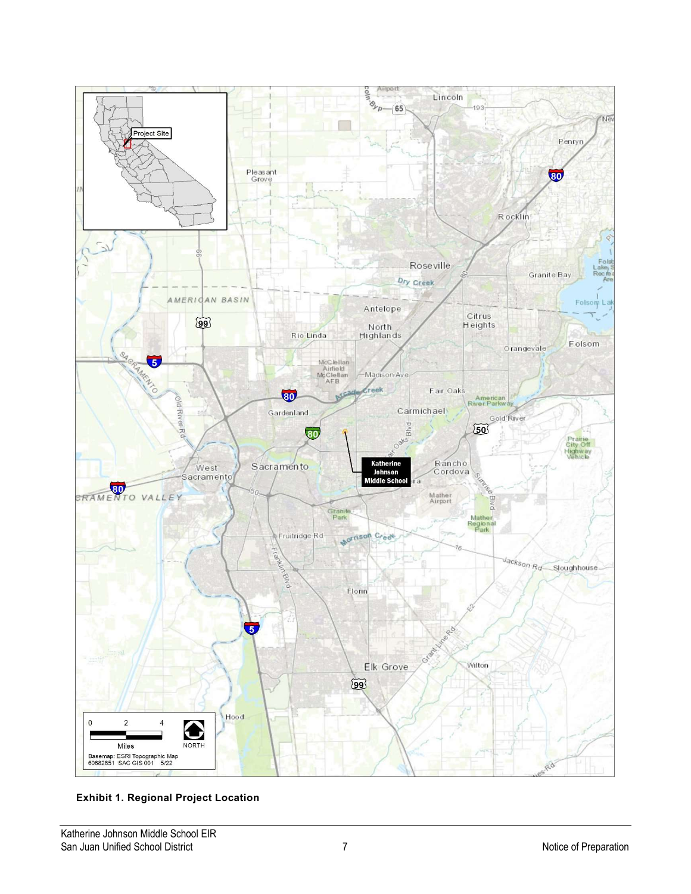

Exhibit 1. Regional Project Location